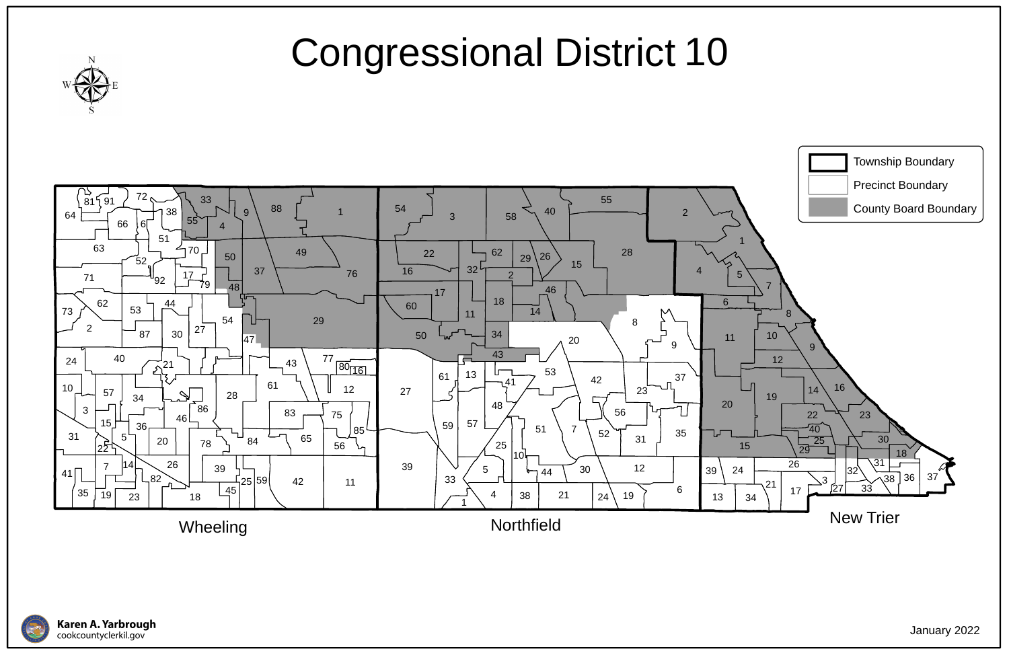



## Congressional District 10



January 2022